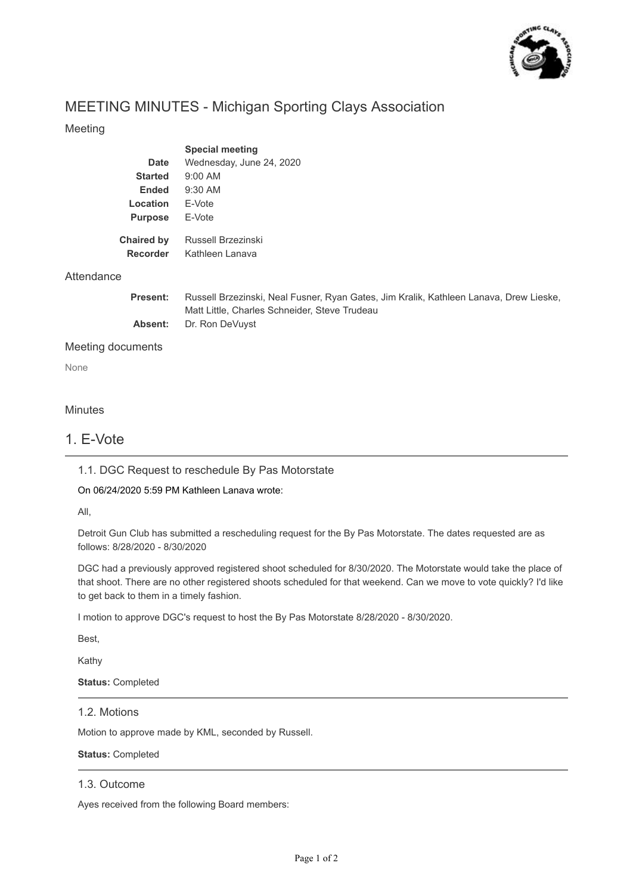

# MEETING MINUTES - Michigan Sporting Clays Association

#### Meeting

|                   | <b>Special meeting</b>   |
|-------------------|--------------------------|
| Date              | Wednesday, June 24, 2020 |
| <b>Started</b>    | $9:00$ AM                |
| Ended             | $9:30$ AM                |
| Location          | F-Vote                   |
| <b>Purpose</b>    | F-Vote                   |
|                   |                          |
| <b>Chaired by</b> | Russell Brzezinski       |
| <b>Recorder</b>   | Kathleen I anava         |

#### Attendance

| <b>Present:</b> | Russell Brzezinski, Neal Fusner, Ryan Gates, Jim Kralik, Kathleen Lanava, Drew Lieske, |
|-----------------|----------------------------------------------------------------------------------------|
|                 | Matt Little, Charles Schneider, Steve Trudeau                                          |
|                 | <b>Absent:</b> Dr. Ron DeVuyst                                                         |

#### Meeting documents

None

#### **Minutes**

### 1. E-Vote

#### 1.1. DGC Request to reschedule By Pas Motorstate

#### On 06/24/2020 5:59 PM Kathleen Lanava wrote:

All,

Detroit Gun Club has submitted a rescheduling request for the By Pas Motorstate. The dates requested are as follows: 8/28/2020 - 8/30/2020

DGC had a previously approved registered shoot scheduled for 8/30/2020. The Motorstate would take the place of that shoot. There are no other registered shoots scheduled for that weekend. Can we move to vote quickly? I'd like to get back to them in a timely fashion.

I motion to approve DGC's request to host the By Pas Motorstate 8/28/2020 - 8/30/2020.

Best,

Kathy

**Status:** Completed

#### 1.2. Motions

Motion to approve made by KML, seconded by Russell.

#### **Status:** Completed

#### 1.3. Outcome

Ayes received from the following Board members: